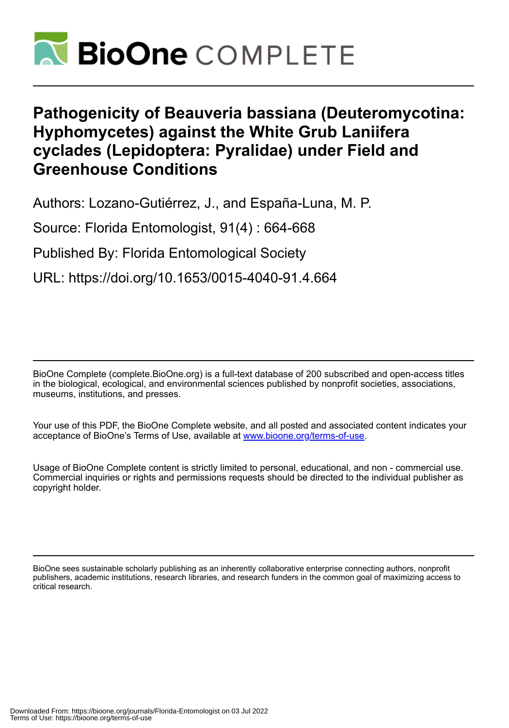

# **Pathogenicity of Beauveria bassiana (Deuteromycotina: Hyphomycetes) against the White Grub Laniifera cyclades (Lepidoptera: Pyralidae) under Field and Greenhouse Conditions**

Authors: Lozano-Gutiérrez, J., and España-Luna, M. P.

Source: Florida Entomologist, 91(4) : 664-668

Published By: Florida Entomological Society

URL: https://doi.org/10.1653/0015-4040-91.4.664

BioOne Complete (complete.BioOne.org) is a full-text database of 200 subscribed and open-access titles in the biological, ecological, and environmental sciences published by nonprofit societies, associations, museums, institutions, and presses.

Your use of this PDF, the BioOne Complete website, and all posted and associated content indicates your acceptance of BioOne's Terms of Use, available at www.bioone.org/terms-of-use.

Usage of BioOne Complete content is strictly limited to personal, educational, and non - commercial use. Commercial inquiries or rights and permissions requests should be directed to the individual publisher as copyright holder.

BioOne sees sustainable scholarly publishing as an inherently collaborative enterprise connecting authors, nonprofit publishers, academic institutions, research libraries, and research funders in the common goal of maximizing access to critical research.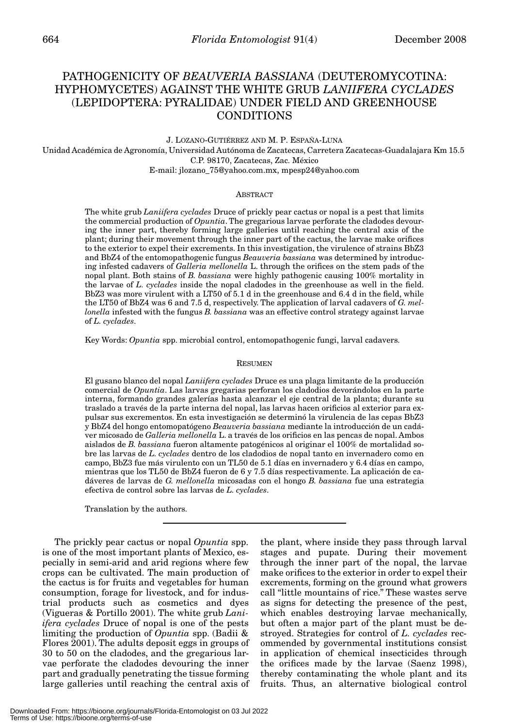# PATHOGENICITY OF *BEAUVERIA BASSIANA* (DEUTEROMYCOTINA: HYPHOMYCETES) AGAINST THE WHITE GRUB *LANIIFERA CYCLADES* (LEPIDOPTERA: PYRALIDAE) UNDER FIELD AND GREENHOUSE CONDITIONS

#### J. LOZANO-GUTIÉRREZ AND M. P. ESPAÑA-LUNA

Unidad Académica de Agronomía, Universidad Autónoma de Zacatecas, Carretera Zacatecas-Guadalajara Km 15.5 C.P. 98170, Zacatecas, Zac. México E-mail: jlozano\_75@yahoo.com.mx, mpesp24@yahoo.com

#### **ABSTRACT**

The white grub *Laniifera cyclades* Druce of prickly pear cactus or nopal is a pest that limits the commercial production of *Opuntia*. The gregarious larvae perforate the cladodes devouring the inner part, thereby forming large galleries until reaching the central axis of the plant; during their movement through the inner part of the cactus, the larvae make orifices to the exterior to expel their excrements. In this investigation, the virulence of strains BbZ3 and BbZ4 of the entomopathogenic fungus *Beauveria bassiana* was determined by introducing infested cadavers of *Galleria mellonella* L. through the orifices on the stem pads of the nopal plant. Both stains of *B. bassiana* were highly pathogenic causing 100% mortality in the larvae of *L. cyclades* inside the nopal cladodes in the greenhouse as well in the field. BbZ3 was more virulent with a LT50 of 5.1 d in the greenhouse and 6.4 d in the field, while the LT50 of BbZ4 was 6 and 7.5 d, respectively. The application of larval cadavers of *G. mellonella* infested with the fungus *B. bassiana* was an effective control strategy against larvae of *L. cyclades*.

Key Words: *Opuntia* spp. microbial control, entomopathogenic fungi, larval cadavers.

#### RESUMEN

El gusano blanco del nopal *Laniifera cyclades* Druce es una plaga limitante de la producción comercial de *Opuntia*. Las larvas gregarias perforan los cladodios devorándolos en la parte interna, formando grandes galerías hasta alcanzar el eje central de la planta; durante su traslado a través de la parte interna del nopal, las larvas hacen orificios al exterior para expulsar sus excrementos. En esta investigación se determinó la virulencia de las cepas BbZ3 y BbZ4 del hongo entomopatógeno *Beauveria bassiana* mediante la introducción de un cadáver micosado de *Galleria mellonella* L. a través de los orificios en las pencas de nopal. Ambos aislados de *B. bassiana* fueron altamente patogénicos al originar el 100% de mortalidad sobre las larvas de *L. cyclades* dentro de los cladodios de nopal tanto en invernadero como en campo, BbZ3 fue más virulento con un TL50 de 5.1 días en invernadero y 6.4 días en campo, mientras que los TL50 de BbZ4 fueron de 6 y 7.5 días respectivamente. La aplicación de cadáveres de larvas de *G. mellonella* micosadas con el hongo *B. bassiana* fue una estrategia efectiva de control sobre las larvas de *L. cyclades*.

Translation by the authors.

The prickly pear cactus or nopal *Opuntia* spp. is one of the most important plants of Mexico, especially in semi-arid and arid regions where few crops can be cultivated. The main production of the cactus is for fruits and vegetables for human consumption, forage for livestock, and for industrial products such as cosmetics and dyes (Vigueras & Portillo 2001). The white grub *Laniifera cyclades* Druce of nopal is one of the pests limiting the production of *Opuntia* spp. (Badii & Flores 2001). The adults deposit eggs in groups of 30 to 50 on the cladodes, and the gregarious larvae perforate the cladodes devouring the inner part and gradually penetrating the tissue forming large galleries until reaching the central axis of

the plant, where inside they pass through larval stages and pupate. During their movement through the inner part of the nopal, the larvae make orifices to the exterior in order to expel their excrements, forming on the ground what growers call "little mountains of rice." These wastes serve as signs for detecting the presence of the pest, which enables destroying larvae mechanically, but often a major part of the plant must be destroyed. Strategies for control of *L. cyclades* recommended by governmental institutions consist in application of chemical insecticides through the orifices made by the larvae (Saenz 1998), thereby contaminating the whole plant and its fruits. Thus, an alternative biological control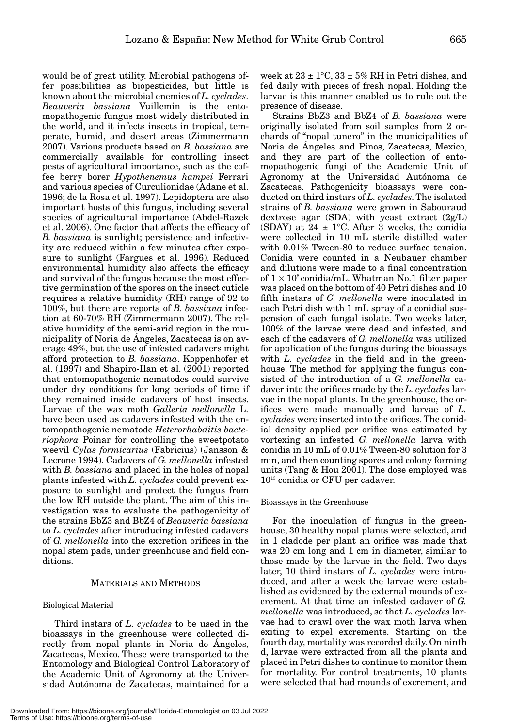would be of great utility. Microbial pathogens offer possibilities as biopesticides, but little is known about the microbial enemies of *L. cyclades*. *Beauveria bassiana* Vuillemin is the entomopathogenic fungus most widely distributed in the world, and it infects insects in tropical, temperate, humid, and desert areas (Zimmermann 2007). Various products based on *B. bassiana* are commercially available for controlling insect pests of agricultural importance, such as the coffee berry borer *Hypothenemus hampei* Ferrari and various species of Curculionidae (Adane et al. 1996; de la Rosa et al. 1997). Lepidoptera are also important hosts of this fungus, including several species of agricultural importance (Abdel-Razek et al. 2006). One factor that affects the efficacy of *B. bassiana* is sunlight; persistence and infectivity are reduced within a few minutes after exposure to sunlight (Fargues et al. 1996). Reduced environmental humidity also affects the efficacy and survival of the fungus because the most effective germination of the spores on the insect cuticle requires a relative humidity (RH) range of 92 to 100%, but there are reports of *B. bassiana* infection at 60-70% RH (Zimmermann 2007). The relative humidity of the semi-arid region in the municipality of Noria de Ángeles, Zacatecas is on average 49%, but the use of infested cadavers might afford protection to *B. bassiana*. Koppenhofer et al. (1997) and Shapiro-Ilan et al. (2001) reported that entomopathogenic nematodes could survive under dry conditions for long periods of time if they remained inside cadavers of host insects. Larvae of the wax moth *Galleria mellonella* L. have been used as cadavers infested with the entomopathogenic nematode *Heterorhabditis bacteriophora* Poinar for controlling the sweetpotato weevil *Cylas formicarius* (Fabricius) (Jansson & Lecrone 1994). Cadavers of *G. mellonella* infested with *B. bassiana* and placed in the holes of nopal plants infested with *L. cyclades* could prevent exposure to sunlight and protect the fungus from the low RH outside the plant. The aim of this investigation was to evaluate the pathogenicity of the strains BbZ3 and BbZ4 of *Beauveria bassiana* to *L. cyclades* after introducing infested cadavers of *G. mellonella* into the excretion orifices in the nopal stem pads, under greenhouse and field conditions.

#### MATERIALS AND METHODS

#### Biological Material

Third instars of *L. cyclades* to be used in the bioassays in the greenhouse were collected directly from nopal plants in Noria de Ángeles, Zacatecas, Mexico. These were transported to the Entomology and Biological Control Laboratory of the Academic Unit of Agronomy at the Universidad Autónoma de Zacatecas, maintained for a

week at  $23 \pm 1$ °C,  $33 \pm 5\%$  RH in Petri dishes, and fed daily with pieces of fresh nopal. Holding the larvae is this manner enabled us to rule out the presence of disease.

Strains BbZ3 and BbZ4 of *B. bassiana* were originally isolated from soil samples from 2 orchards of "nopal tunero" in the municipalities of Noria de Ángeles and Pinos, Zacatecas, Mexico, and they are part of the collection of entomopathogenic fungi of the Academic Unit of Agronomy at the Universidad Autónoma de Zacatecas. Pathogenicity bioassays were conducted on third instars of *L. cyclades*. The isolated strains of *B. bassiana* were grown in Sabouraud dextrose agar (SDA) with yeast extract  $(2g/L)$ (SDAY) at  $24 \pm 1$ °C. After 3 weeks, the conidia were collected in 10 mL sterile distilled water with 0.01% Tween-80 to reduce surface tension. Conidia were counted in a Neubauer chamber and dilutions were made to a final concentration of  $1 \times 10^8$  conidia/mL. Whatman No.1 filter paper was placed on the bottom of 40 Petri dishes and 10 fifth instars of *G. mellonella* were inoculated in each Petri dish with 1 mL spray of a conidial suspension of each fungal isolate. Two weeks later, 100% of the larvae were dead and infested, and each of the cadavers of *G. mellonella* was utilized for application of the fungus during the bioassays with *L. cyclades* in the field and in the greenhouse. The method for applying the fungus consisted of the introduction of a *G. mellonella* cadaver into the orifices made by the *L. cyclades* larvae in the nopal plants. In the greenhouse, the orifices were made manually and larvae of *L. cyclades* were inserted into the orifices. The conidial density applied per orifice was estimated by vortexing an infested *G. mellonella* larva with conidia in 10 mL of 0.01% Tween-80 solution for 3 min, and then counting spores and colony forming units (Tang & Hou 2001). The dose employed was 1013 conidia or CFU per cadaver.

#### Bioassays in the Greenhouse

For the inoculation of fungus in the greenhouse, 30 healthy nopal plants were selected, and in 1 cladode per plant an orifice was made that was 20 cm long and 1 cm in diameter, similar to those made by the larvae in the field. Two days later, 10 third instars of *L. cyclades* were introduced, and after a week the larvae were established as evidenced by the external mounds of excrement. At that time an infested cadaver of *G. mellonella* was introduced, so that *L. cyclades* larvae had to crawl over the wax moth larva when exiting to expel excrements. Starting on the fourth day, mortality was recorded daily. On ninth d, larvae were extracted from all the plants and placed in Petri dishes to continue to monitor them for mortality. For control treatments, 10 plants were selected that had mounds of excrement, and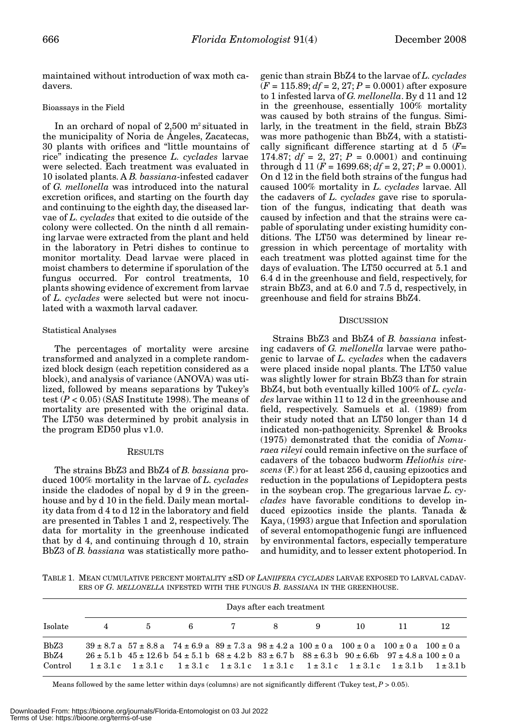maintained without introduction of wax moth cadavers.

#### Bioassays in the Field

In an orchard of nopal of  $2,500$  m<sup>2</sup> situated in the municipality of Noria de Ángeles, Zacatecas, 30 plants with orifices and "little mountains of rice" indicating the presence *L. cyclades* larvae were selected. Each treatment was evaluated in 10 isolated plants. A *B. bassiana*-infested cadaver of *G. mellonella* was introduced into the natural excretion orifices, and starting on the fourth day and continuing to the eighth day, the diseased larvae of *L. cyclades* that exited to die outside of the colony were collected. On the ninth d all remaining larvae were extracted from the plant and held in the laboratory in Petri dishes to continue to monitor mortality. Dead larvae were placed in moist chambers to determine if sporulation of the fungus occurred. For control treatments, 10 plants showing evidence of excrement from larvae of *L. cyclades* were selected but were not inoculated with a waxmoth larval cadaver.

# Statistical Analyses

The percentages of mortality were arcsine transformed and analyzed in a complete randomized block design (each repetition considered as a block), and analysis of variance (ANOVA) was utilized, followed by means separations by Tukey's test  $(P < 0.05)$  (SAS Institute 1998). The means of mortality are presented with the original data. The LT50 was determined by probit analysis in the program ED50 plus v1.0.

#### RESULTS

The strains BbZ3 and BbZ4 of *B. bassiana* produced 100% mortality in the larvae of *L. cyclades* inside the cladodes of nopal by d 9 in the greenhouse and by d 10 in the field. Daily mean mortality data from d 4 to d 12 in the laboratory and field are presented in Tables 1 and 2, respectively. The data for mortality in the greenhouse indicated that by d 4, and continuing through d 10, strain BbZ3 of *B. bassiana* was statistically more pathogenic than strain BbZ4 to the larvae of *L. cyclades* (*F* = 115.89; *df* = 2, 27; *P* = 0.0001) after exposure to 1 infested larva of *G. mellonella*. By d 11 and 12 in the greenhouse, essentially 100% mortality was caused by both strains of the fungus. Similarly, in the treatment in the field, strain BbZ3 was more pathogenic than BbZ4, with a statistically significant difference starting at d 5 (*F*= 174.87;  $df = 2$ , 27;  $P = 0.0001$ ) and continuing through d 11 ( $F = 1699.68$ ;  $df = 2$ , 27;  $P = 0.0001$ ). On d 12 in the field both strains of the fungus had caused 100% mortality in *L. cyclades* larvae. All the cadavers of *L. cyclades* gave rise to sporulation of the fungus, indicating that death was caused by infection and that the strains were capable of sporulating under existing humidity conditions. The LT50 was determined by linear regression in which percentage of mortality with each treatment was plotted against time for the days of evaluation. The LT50 occurred at 5.1 and 6.4 d in the greenhouse and field, respectively, for strain BbZ3, and at 6.0 and 7.5 d, respectively, in greenhouse and field for strains BbZ4.

## **DISCUSSION**

Strains BbZ3 and BbZ4 of *B. bassiana* infesting cadavers of *G. mellonella* larvae were pathogenic to larvae of *L. cyclades* when the cadavers were placed inside nopal plants. The LT50 value was slightly lower for strain BbZ3 than for strain BbZ4, but both eventually killed 100% of *L. cyclades* larvae within 11 to 12 d in the greenhouse and field, respectively. Samuels et al. (1989) from their study noted that an LT50 longer than 14 d indicated non-pathogenicity. Sprenkel & Brooks (1975) demonstrated that the conidia of *Nomuraea rileyi* could remain infective on the surface of cadavers of the tobacco budworm *Heliothis virescens* (F.) for at least 256 d, causing epizootics and reduction in the populations of Lepidoptera pests in the soybean crop. The gregarious larvae *L. cyclades* have favorable conditions to develop induced epizootics inside the plants. Tanada & Kaya, (1993) argue that Infection and sporulation of several entomopathogenic fungi are influenced by environmental factors, especially temperature and humidity, and to lesser extent photoperiod. In

TABLE 1. MEAN CUMULATIVE PERCENT MORTALITY ±SD OF *LANIIFERA CYCLADES* LARVAE EXPOSED TO LARVAL CADAV-ERS OF *G. MELLONELLA* INFESTED WITH THE FUNGUS *B. BASSIANA* IN THE GREENHOUSE.

|                         | Days after each treatment |                                                                                                                                                                                                                                                                                                                                                                                                      |  |  |  |  |      |      |     |  |
|-------------------------|---------------------------|------------------------------------------------------------------------------------------------------------------------------------------------------------------------------------------------------------------------------------------------------------------------------------------------------------------------------------------------------------------------------------------------------|--|--|--|--|------|------|-----|--|
| Isolate                 |                           | 4 5 6 7 8 9                                                                                                                                                                                                                                                                                                                                                                                          |  |  |  |  | - 10 | -11- | -12 |  |
| BbZ3<br>BbZ4<br>Control |                           | $39 \pm 8.7$ a $57 \pm 8.8$ a $74 \pm 6.9$ a $89 \pm 7.3$ a $98 \pm 4.2$ a $100 \pm 0$ a $100 \pm 0$ a $100 \pm 0$ a $100 \pm 0$ a<br>$26 \pm 5.1$ b $45 \pm 12.6$ b $54 \pm 5.1$ b $68 \pm 4.2$ b $83 \pm 6.7$ b $88 \pm 6.3$ b $90 \pm 6.6$ b $97 \pm 4.8$ a $100 \pm 0$ a<br>$1 \pm 3.1c$ $1 \pm 3.1c$ $1 \pm 3.1c$ $1 \pm 3.1c$ $1 \pm 3.1c$ $1 \pm 3.1c$ $1 \pm 3.1c$ $1 \pm 3.1b$ $1 \pm 3.1b$ |  |  |  |  |      |      |     |  |

Means followed by the same letter within days (columns) are not significantly different (Tukey test,  $P > 0.05$ ).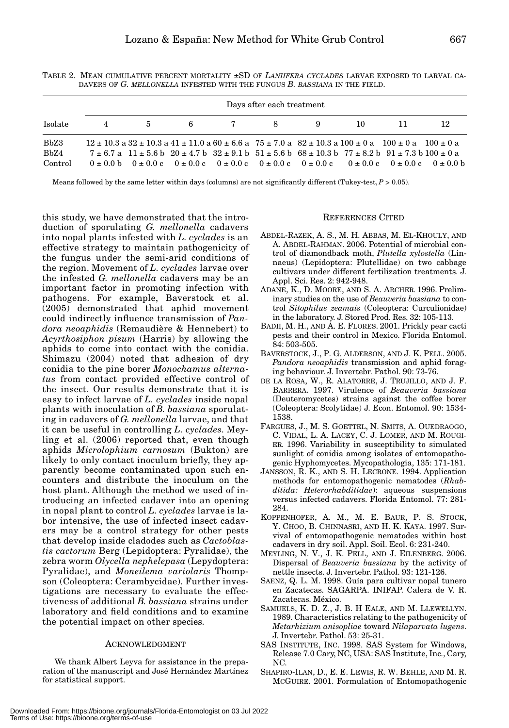|         | Days after each treatment |                                                                                                                                         |  |         |  |   |     |    |    |  |
|---------|---------------------------|-----------------------------------------------------------------------------------------------------------------------------------------|--|---------|--|---|-----|----|----|--|
| Isolate | 4                         |                                                                                                                                         |  | 5 6 7 8 |  | 9 | 10. | 11 | 12 |  |
| BbZ3    |                           | $12 \pm 10.3$ a $32 \pm 10.3$ a $41 \pm 11.0$ a $60 \pm 6.6$ a $75 \pm 7.0$ a $82 \pm 10.3$ a $100 \pm 0$ a $100 \pm 0$ a $100 \pm 0$ a |  |         |  |   |     |    |    |  |
| BbZ4    |                           | $7 \pm 6.7$ a $11 \pm 5.6$ b $20 \pm 4.7$ b $32 \pm 9.1$ b $51 \pm 5.6$ b $68 \pm 10.3$ b $77 \pm 8.2$ b $91 \pm 7.3$ b $100 \pm 0$ a   |  |         |  |   |     |    |    |  |
| Control |                           | $0 \pm 0.0$ b $0 \pm 0.0$ c $0 \pm 0.0$ c $0 \pm 0.0$ c $0 \pm 0.0$ c $0 \pm 0.0$ c $0 \pm 0.0$ c $0 \pm 0.0$ c $0 \pm 0.0$ b           |  |         |  |   |     |    |    |  |

TABLE 2. MEAN CUMULATIVE PERCENT MORTALITY ±SD OF *LANIIFERA CYCLADES* LARVAE EXPOSED TO LARVAL CA-DAVERS OF *G. MELLONELLA* INFESTED WITH THE FUNGUS *B. BASSIANA* IN THE FIELD.

Means followed by the same letter within days (columns) are not significantly different (Tukey-test,  $P > 0.05$ ).

this study, we have demonstrated that the introduction of sporulating *G. mellonella* cadavers into nopal plants infested with *L. cyclades* is an effective strategy to maintain pathogenicity of the fungus under the semi-arid conditions of the region. Movement of *L. cyclades* larvae over the infested *G. mellonella* cadavers may be an important factor in promoting infection with pathogens. For example, Baverstock et al. (2005) demonstrated that aphid movement could indirectly influence transmission of *Pandora neoaphidis* (Remaudière & Hennebert) to *Acyrthosiphon pisum* (Harris) by allowing the aphids to come into contact with the conidia. Shimazu (2004) noted that adhesion of dry conidia to the pine borer *Monochamus alternatus* from contact provided effective control of the insect. Our results demonstrate that it is easy to infect larvae of *L. cyclades* inside nopal plants with inoculation of *B. bassiana* sporulating in cadavers of *G. mellonella* larvae, and that it can be useful in controlling *L. cyclades*. Meyling et al. (2006) reported that, even though aphids *Microlophium carnosum* (Bukton) are likely to only contact inoculum briefly, they apparently become contaminated upon such encounters and distribute the inoculum on the host plant. Although the method we used of introducing an infected cadaver into an opening in nopal plant to control *L. cyclades* larvae is labor intensive, the use of infected insect cadavers may be a control strategy for other pests that develop inside cladodes such as *Cactoblastis cactorum* Berg (Lepidoptera: Pyralidae), the zebra worm *Olycella nephelepasa* (Lepydoptera: Pyralidae), and *Moneilema variolaris* Thompson (Coleoptera: Cerambycidae). Further investigations are necessary to evaluate the effectiveness of additional *B. bassiana* strains under laboratory and field conditions and to examine the potential impact on other species.

## ACKNOWLEDGMENT

We thank Albert Leyva for assistance in the preparation of the manuscript and José Hernández Martínez for statistical support.

#### REFERENCES CITED

- ABDEL-RAZEK, A. S., M. H. ABBAS, M. EL-KHOULY, AND A. ABDEL-RAHMAN. 2006. Potential of microbial control of diamondback moth, *Plutella xylostella* (Linnaeus) (Lepidoptera: Plutellidae) on two cabbage cultivars under different fertilization treatments. J. Appl. Sci. Res. 2: 942-948.
- ADANE, K., D. MOORE, AND S. A. ARCHER. 1996. Preliminary studies on the use of *Beauveria bassiana* to control *Sitophilus zeamais* (Coleoptera: Curculionidae) in the laboratory. J. Stored Prod. Res. 32: 105-113.
- BADII, M. H., AND A. E. FLORES. 2001. Prickly pear cacti pests and their control in Mexico. Florida Entomol. 84: 503-505.
- BAVERSTOCK, J., P. G. ALDERSON, AND J. K. PELL. 2005. *Pandora neoaphidis* transmission and aphid foraging behaviour. J. Invertebr. Pathol. 90: 73-76.
- DE LA ROSA, W., R. ALATORRE, J. TRUJILLO, AND J. F. BARRERA. 1997. Virulence of *Beauveria bassiana* (Deuteromycetes) strains against the coffee borer (Coleoptera: Scolytidae) J. Econ. Entomol. 90: 1534- 1538.
- FARGUES, J., M. S. GOETTEL, N. SMITS, A. OUEDRAOGO, C. VIDAL, L. A. LACEY, C. J. LOMER, AND M. ROUGI-ER. 1996. Variability in susceptibility to simulated sunlight of conidia among isolates of entomopathogenic Hyphomycetes. Mycopathologia, 135: 171-181.
- JANSSON, R. K., AND S. H. LECRONE. 1994. Application methods for entomopathogenic nematodes (*Rhabditida: Heterorhabditidae*): aqueous suspensions versus infected cadavers. Florida Entomol. 77: 281- 284.
- KOPPENHOFER, A. M., M. E. BAUR, P. S. STOCK, Y. CHOO, B. CHINNASRI, AND H. K. KAYA. 1997. Survival of entomopathogenic nematodes within host cadavers in dry soil. Appl. Soil. Ecol. 6: 231-240.
- MEYLING, N. V., J. K. PELL, AND J. EILENBERG. 2006. Dispersal of *Beauveria bassiana* by the activity of nettle insects. J. Invertebr. Pathol. 93: 121-126.
- SAENZ, Q. L. M. 1998. Guía para cultivar nopal tunero en Zacatecas. SAGARPA. INIFAP. Calera de V. R. Zacatecas. México.
- SAMUELS, K. D. Z., J. B. H EALE, AND M. LLEWELLYN. 1989. Characteristics relating to the pathogenicity of *Metarhizium anisopliae* toward *Nilaparvata lugens*. J. Invertebr. Pathol. 53: 25-31.
- SAS INSTITUTE, INC. 1998. SAS System for Windows, Release 7.0 Cary, NC, USA: SAS Institute, Inc., Cary, NC.
- SHAPIRO-ILAN, D., E. E. LEWIS, R. W. BEHLE, AND M. R. MCGUIRE. 2001. Formulation of Entomopathogenic